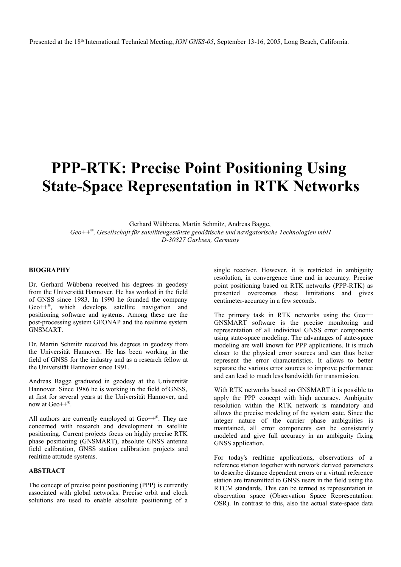# **PPP-RTK: Precise Point Positioning Using State-Space Representation in RTK Networks**

Gerhard Wübbena, Martin Schmitz, Andreas Bagge, *Geo++ , Gesellschaft für satellitengestützte geodätische und navigatorische Technologien mbH D-30827 Garbsen, Germany*

#### **BIOGRAPHY**

Dr. Gerhard Wübbena received his degrees in geodesy from the Universität Hannover. He has worked in the field of GNSS since 1983. In 1990 he founded the company Geo++*®* , which develops satellite navigation and positioning software and systems. Among these are the post-processing system GEONAP and the realtime system GNSMART.

Dr. Martin Schmitz received his degrees in geodesy from the Universität Hannover. He has been working in the field of GNSS for the industry and as a research fellow at the Universität Hannover since 1991.

Andreas Bagge graduated in geodesy at the Universität Hannover. Since 1986 he is working in the field of GNSS, at first for several years at the Universität Hannover, and now at Geo++® .

All authors are currently employed at Geo++*®* . They are concerned with research and development in satellite positioning. Current projects focus on highly precise RTK phase positioning (GNSMART), absolute GNSS antenna field calibration, GNSS station calibration projects and realtime attitude systems.

## **ABSTRACT**

The concept of precise point positioning (PPP) is currently associated with global networks. Precise orbit and clock solutions are used to enable absolute positioning of a

single receiver. However, it is restricted in ambiguity resolution, in convergence time and in accuracy. Precise point positioning based on RTK networks (PPP-RTK) as presented overcomes these limitations and gives centimeter-accuracy in a few seconds.

The primary task in RTK networks using the Geo++ GNSMART software is the precise monitoring and representation of all individual GNSS error components using state-space modeling. The advantages of state-space modeling are well known for PPP applications. It is much closer to the physical error sources and can thus better represent the error characteristics. It allows to better separate the various error sources to improve performance and can lead to much less bandwidth for transmission.

With RTK networks based on GNSMART it is possible to apply the PPP concept with high accuracy. Ambiguity resolution within the RTK network is mandatory and allows the precise modeling of the system state. Since the integer nature of the carrier phase ambiguities is maintained, all error components can be consistently modeled and give full accuracy in an ambiguity fixing GNSS application.

For today's realtime applications, observations of a reference station together with network derived parameters to describe distance dependent errors or a virtual reference station are transmitted to GNSS users in the field using the RTCM standards. This can be termed as representation in observation space (Observation Space Representation: OSR). In contrast to this, also the actual state-space data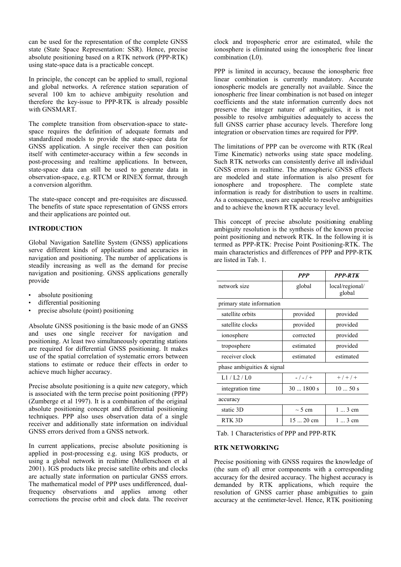can be used for the representation of the complete GNSS state (State Space Representation: SSR). Hence, precise absolute positioning based on a RTK network (PPP-RTK) using state-space data is a practicable concept.

In principle, the concept can be applied to small, regional and global networks. A reference station separation of several 100 km to achieve ambiguity resolution and therefore the key-issue to PPP-RTK is already possible with GNSMART.

The complete transition from observation-space to statespace requires the definition of adequate formats and standardized models to provide the state-space data for GNSS application. A single receiver then can position itself with centimeter-accuracy within a few seconds in post-processing and realtime applications. In between, state-space data can still be used to generate data in observation-space, e.g. RTCM or RINEX format, through a conversion algorithm.

The state-space concept and pre-requisites are discussed. The benefits of state space representation of GNSS errors and their applications are pointed out.

### **INTRODUCTION**

Global Navigation Satellite System (GNSS) applications serve different kinds of applications and accuracies in navigation and positioning. The number of applications is steadily increasing as well as the demand for precise navigation and positioning. GNSS applications generally provide

- absolute positioning
- differential positioning
- precise absolute (point) positioning

Absolute GNSS positioning is the basic mode of an GNSS and uses one single receiver for navigation and positioning. At least two simultaneously operating stations are required for differential GNSS positioning. It makes use of the spatial correlation of systematic errors between stations to estimate or reduce their effects in order to achieve much higher accuracy.

Precise absolute positioning is a quite new category, which is associated with the term precise point positioning (PPP) (Zumberge et al 1997). It is a combination of the original absolute positioning concept and differential positioning techniques. PPP also uses observation data of a single receiver and additionally state information on individual GNSS errors derived from a GNSS network.

In current applications, precise absolute positioning is applied in post-processing e.g. using IGS products, or using a global network in realtime (Mullerschoen et al 2001). IGS products like precise satellite orbits and clocks are actually state information on particular GNSS errors. The mathematical model of PPP uses undifferenced, dualfrequency observations and applies among other corrections the precise orbit and clock data. The receiver clock and tropospheric error are estimated, while the ionosphere is eliminated using the ionospheric free linear combination (L0).

PPP is limited in accuracy, because the ionospheric free linear combination is currently mandatory. Accurate ionospheric models are generally not available. Since the ionospheric free linear combination is not based on integer coefficients and the state information currently does not preserve the integer nature of ambiguities, it is not possible to resolve ambiguities adequately to access the full GNSS carrier phase accuracy levels. Therefore long integration or observation times are required for PPP.

The limitations of PPP can be overcome with RTK (Real Time Kinematic) networks using state space modeling. Such RTK networks can consistently derive all individual GNSS errors in realtime. The atmospheric GNSS effects are modeled and state information is also present for ionosphere and troposphere. The complete state information is ready for distribution to users in realtime. As a consequence, users are capable to resolve ambiguities and to achieve the known RTK accuracy level.

This concept of precise absolute positioning enabling ambiguity resolution is the synthesis of the known precise point positioning and network RTK. In the following it is termed as PPP-RTK: Precise Point Positioning-RTK. The main characteristics and differences of PPP and PPP-RTK are listed in Tab. 1.

|                               | <b>PPP</b>  | <b>PPP-RTK</b>            |  |  |  |
|-------------------------------|-------------|---------------------------|--|--|--|
| network size                  | global      | local/regional/<br>global |  |  |  |
| primary state information     |             |                           |  |  |  |
| satellite orbits              | provided    | provided                  |  |  |  |
| satellite clocks              | provided    | provided                  |  |  |  |
| ionosphere                    | corrected   | provided                  |  |  |  |
| troposphere                   | estimated   | provided                  |  |  |  |
| receiver clock                | estimated   | estimated                 |  |  |  |
| phase ambiguities $\&$ signal |             |                           |  |  |  |
| 1.1 / 1.2 / 1.0               | $-/-/$ +    | $+$ / + / +               |  |  |  |
| integration time              | $301800$ s  | 1050s                     |  |  |  |
| accuracy                      |             |                           |  |  |  |
| static 3D                     | $\sim$ 5 cm | $1 \dots 3$ cm            |  |  |  |
| RTK 3D                        | $1520$ cm   | $1 \dots 3$ cm            |  |  |  |

Tab. 1 Characteristics of PPP and PPP-RTK

#### **RTK NETWORKING**

Precise positioning with GNSS requires the knowledge of (the sum of) all error components with a corresponding accuracy for the desired accuracy. The highest accuracy is demanded by RTK applications, which require the resolution of GNSS carrier phase ambiguities to gain accuracy at the centimeter-level. Hence, RTK positioning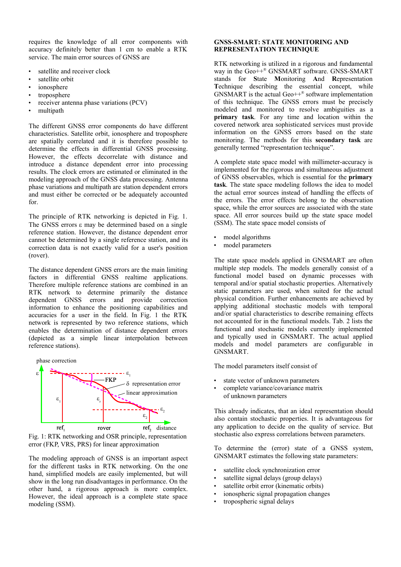requires the knowledge of all error components with accuracy definitely better than 1 cm to enable a RTK service. The main error sources of GNSS are

- satellite and receiver clock
- satellite orbit
- ionosphere
- troposphere
- receiver antenna phase variations (PCV)
- multipath

The different GNSS error components do have different characteristics. Satellite orbit, ionosphere and troposphere are spatially correlated and it is therefore possible to determine the effects in differential GNSS processing. However, the effects decorrelate with distance and introduce a distance dependent error into processing results. The clock errors are estimated or eliminated in the modeling approach of the GNSS data processing. Antenna phase variations and multipath are station dependent errors and must either be corrected or be adequately accounted for.

The principle of RTK networking is depicted in Fig. 1. The GNSS errors  $\varepsilon$  may be determined based on a single reference station. However, the distance dependent error cannot be determined by a single reference station, and its correction data is not exactly valid for a user's position (rover).

The distance dependent GNSS errors are the main limiting factors in differential GNSS realtime applications. Therefore multiple reference stations are combined in an RTK network to determine primarily the distance dependent GNSS errors and provide correction information to enhance the positioning capabilities and accuracies for a user in the field. In Fig. 1 the RTK network is represented by two reference stations, which enables the determination of distance dependent errors (depicted as a simple linear interpolation between reference stations).



Fig. 1: RTK networking and OSR principle, representation error (FKP, VRS, PRS) for linear approximation

The modeling approach of GNSS is an important aspect for the different tasks in RTK networking. On the one hand, simplified models are easily implemented, but will show in the long run disadvantages in performance. On the other hand, a rigorous approach is more complex. However, the ideal approach is a complete state space modeling (SSM).

### **GNSS-SMART: STATE MONITORING AND REPRESENTATION TECHNIQUE**

RTK networking is utilized in a rigorous and fundamental way in the Geo++® GNSMART software. GNSS-SMART stands for **S**tate **M**onitoring **A**nd **R**epresentation **Technique describing the essential concept, while** GNSMART is the actual  $Geo++^{\circledast}$  software implementation of this technique. The GNSS errors must be precisely modeled and monitored to resolve ambiguities as a **primary task**. For any time and location within the covered network area sophisticated services must provide information on the GNSS errors based on the state monitoring. The methods for this **secondary task** are generally termed "representation technique".

A complete state space model with millimeter-accuracy is implemented for the rigorous and simultaneous adjustment of GNSS observables, which is essential for the **primary task**. The state space modeling follows the idea to model the actual error sources instead of handling the effects of the errors. The error effects belong to the observation space, while the error sources are associated with the state space. All error sources build up the state space model (SSM). The state space model consists of

- model algorithms
- model parameters

The state space models applied in GNSMART are often multiple step models. The models generally consist of a functional model based on dynamic processes with temporal and/or spatial stochastic properties. Alternatively static parameters are used, when suited for the actual physical condition. Further enhancements are achieved by applying additional stochastic models with temporal and/or spatial characteristics to describe remaining effects not accounted for in the functional models. Tab. 2 lists the functional and stochastic models currently implemented and typically used in GNSMART. The actual applied models and model parameters are configurable in GNSMART.

The model parameters itself consist of

- state vector of unknown parameters
- complete variance/covariance matrix of unknown parameters

This already indicates, that an ideal representation should also contain stochastic properties. It is advantageous for any application to decide on the quality of service. But stochastic also express correlations between parameters.

To determine the (error) state of a GNSS system, GNSMART estimates the following state parameters:

- satellite clock synchronization error
- satellite signal delays (group delays)
- satellite orbit error (kinematic orbits)
- ionospheric signal propagation changes
- tropospheric signal delays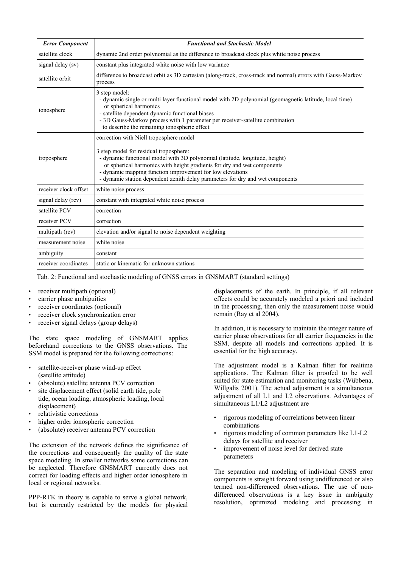| <b>Error Component</b> | <b>Functional and Stochastic Model</b>                                                                                                                                                                                                                                                                                                                                                     |  |  |
|------------------------|--------------------------------------------------------------------------------------------------------------------------------------------------------------------------------------------------------------------------------------------------------------------------------------------------------------------------------------------------------------------------------------------|--|--|
| satellite clock        | dynamic 2nd order polynomial as the difference to broadcast clock plus white noise process                                                                                                                                                                                                                                                                                                 |  |  |
| signal delay (sv)      | constant plus integrated white noise with low variance                                                                                                                                                                                                                                                                                                                                     |  |  |
| satellite orbit        | difference to broadcast orbit as 3D cartesian (along-track, cross-track and normal) errors with Gauss-Markov<br>process                                                                                                                                                                                                                                                                    |  |  |
| ionosphere             | 3 step model:<br>- dynamic single or multi layer functional model with 2D polynomial (geomagnetic latitude, local time)<br>or spherical harmonics<br>- satellite dependent dynamic functional biases<br>- 3D Gauss-Markov process with 1 parameter per receiver-satellite combination<br>to describe the remaining ionospheric effect                                                      |  |  |
| troposphere            | correction with Niell troposphere model<br>3 step model for residual troposphere:<br>- dynamic functional model with 3D polynomial (latitude, longitude, height)<br>or spherical harmonics with height gradients for dry and wet components<br>- dynamic mapping function improvement for low elevations<br>- dynamic station dependent zenith delay parameters for dry and wet components |  |  |
| receiver clock offset  | white noise process                                                                                                                                                                                                                                                                                                                                                                        |  |  |
| signal delay (rcv)     | constant with integrated white noise process                                                                                                                                                                                                                                                                                                                                               |  |  |
| satellite PCV          | correction                                                                                                                                                                                                                                                                                                                                                                                 |  |  |
| receiver PCV           | correction                                                                                                                                                                                                                                                                                                                                                                                 |  |  |
| multipath (rcv)        | elevation and/or signal to noise dependent weighting                                                                                                                                                                                                                                                                                                                                       |  |  |
| measurement noise      | white noise                                                                                                                                                                                                                                                                                                                                                                                |  |  |
| ambiguity              | constant                                                                                                                                                                                                                                                                                                                                                                                   |  |  |
| receiver coordinates   | static or kinematic for unknown stations                                                                                                                                                                                                                                                                                                                                                   |  |  |

Tab. 2: Functional and stochastic modeling of GNSS errors in GNSMART (standard settings)

- receiver multipath (optional)
- carrier phase ambiguities
- receiver coordinates (optional)
- receiver clock synchronization error
- receiver signal delays (group delays)

The state space modeling of GNSMART applies beforehand corrections to the GNSS observations. The SSM model is prepared for the following corrections:

- satellite-receiver phase wind-up effect (satellite attitude)
- (absolute) satellite antenna PCV correction
- site displacement effect (solid earth tide, pole tide, ocean loading, atmospheric loading, local displacement)
- relativistic corrections
- higher order ionospheric correction
- (absolute) receiver antenna PCV correction

The extension of the network defines the significance of the corrections and consequently the quality of the state space modeling. In smaller networks some corrections can be neglected. Therefore GNSMART currently does not correct for loading effects and higher order ionosphere in local or regional networks.

PPP-RTK in theory is capable to serve a global network, but is currently restricted by the models for physical displacements of the earth. In principle, if all relevant effects could be accurately modeled a priori and included in the processing, then only the measurement noise would remain (Ray et al 2004).

In addition, it is necessary to maintain the integer nature of carrier phase observations for all carrier frequencies in the SSM, despite all models and corrections applied. It is essential for the high accuracy.

The adjustment model is a Kalman filter for realtime applications. The Kalman filter is proofed to be well suited for state estimation and monitoring tasks (Wübbena, Willgalis 2001). The actual adjustment is a simultaneous adjustment of all L1 and L2 observations. Advantages of simultaneous L1/L2 adjustment are

- rigorous modeling of correlations between linear combinations
- rigorous modeling of common parameters like L1-L2 delays for satellite and receiver
- improvement of noise level for derived state parameters

The separation and modeling of individual GNSS error components is straight forward using undifferenced or also termed non-differenced observations. The use of nondifferenced observations is a key issue in ambiguity resolution, optimized modeling and processing in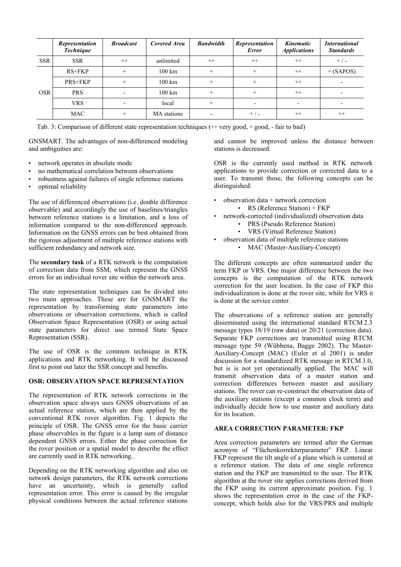|            | <b>Representation</b><br><b>Technique</b> | <b>Broadcast</b> | <b>Covered Area</b> | <b>Bandwidth</b> | <b>Representation</b><br><b>Error</b> | Kinematic<br><b>Applications</b> | <i>International</i><br><b>Standards</b> |
|------------|-------------------------------------------|------------------|---------------------|------------------|---------------------------------------|----------------------------------|------------------------------------------|
| <b>SSR</b> | <b>SSR</b>                                | $^{++}$          | unlimited           | $^{++}$          | $++$                                  | $^{++}$                          | $+$ / -                                  |
| <b>OSR</b> | $RS+FKP$                                  |                  | $100 \mathrm{km}$   | $^{+}$           | $^{+}$                                | $^{++}$                          | $+$ (SAPOS)                              |
|            | PRS+FKP                                   |                  | $100 \mathrm{km}$   | $^{+}$           | $^{+}$                                | $++$                             |                                          |
|            | <b>PRS</b>                                |                  | $100 \mathrm{km}$   | $+$              | $^{+}$                                | $^{++}$                          |                                          |
|            | <b>VRS</b>                                |                  | local               | $^{+}$           |                                       |                                  |                                          |
|            | MAC                                       |                  | MA stations         |                  | $+/-$                                 | $^{++}$                          | $^{++}$                                  |

Tab. 3: Comparison of different state representation techniques (++ very good, + good, - fair to bad)

GNSMART. The advantages of non-differenced modeling and ambiguities are:

- network operates in absolute mode
- no mathematical correlation between observations
- robustness against failures of single reference stations
- optimal reliability

The use of differenced observations (i.e. double difference observable) and accordingly the use of baselines/triangles between reference stations is a limitation, and a loss of information compared to the non-differenced approach. Information on the GNSS errors can be best obtained from the rigorous adjustment of multiple reference stations with sufficient redundancy and network size.

The **secondary task** of a RTK network is the computation of correction data from SSM, which represent the GNSS errors for an individual rover site within the network area.

The state representation techniques can be divided into two main approaches. These are for GNSMART the representation by transforming state parameters into observations or observation corrections, which is called Observation Space Representation (OSR) or using actual state parameters for direct use termed State Space Representation (SSR).

The use of OSR is the common technique in RTK applications and RTK networking. It will be discussed first to point out later the SSR concept and benefits.

#### **OSR: OBSERVATION SPACE REPRESENTATION**

The representation of RTK network corrections in the observation space always uses GNSS observations of an actual reference station, which are then applied by the conventional RTK rover algorithm. Fig. 1 depicts the principle of OSR. The GNSS error for the basic carrier phase observables in the figure is a lump sum of distance dependent GNSS errors. Either the phase correction for the rover position or a spatial model to describe the effect are currently used in RTK networking.

Depending on the RTK networking algorithm and also on network design parameters, the RTK network corrections have an uncertainty, which is generally called representation error. This error is caused by the irregular physical conditions between the actual reference stations

and cannot be improved unless the distance between stations is decreased.

OSR is the currently used method in RTK network applications to provide correction or corrected data to a user. To transmit those, the following concepts can be distinguished:

- observation data + network correction
- RS (Reference Station) + FKP
- network-corrected (individualized) observation data
	- PRS (Pseudo Reference Station)
	- VRS (Virtual Reference Station)
- observation data of multiple reference stations
	- MAC (Master-Auxiliary-Concept)

The different concepts are often summarized under the term FKP or VRS. One major difference between the two concepts is the computation of the RTK network correction for the user location. In the case of FKP this individualization is done at the rover site, while for VRS it is done at the service center.

The observations of a reference station are generally disseminated using the international standard RTCM 2.3 message types 18/19 (raw data) or 20/21 (correction data). Separate FKP corrections are transmitted using RTCM message type 59 (Wübbena, Bagge 2002). The Master-Auxiliary-Concept (MAC) (Euler et al 2001) is under discussion for a standardized RTK message in RTCM 3.0, but is is not yet operationally applied. The MAC will transmit observation data of a master station and correction differences between master and auxiliary stations. The rover can re-construct the observation data of the auxiliary stations (except a common clock term) and individually decide how to use master and auxiliary data for its location.

#### **AREA CORRECTION PARAMETER: FKP**

Area correction parameters are termed after the German acronym of "Flächenkorrekturparameter" FKP. Linear FKP represent the tilt angle of a plane which is centered at a reference station. The data of one single reference station and the FKP are transmitted to the user. The RTK algorithm at the rover site applies corrections derived from the FKP using its current approximate position. Fig. 1 shows the representation error in the case of the FKPconcept, which holds also for the VRS/PRS and multiple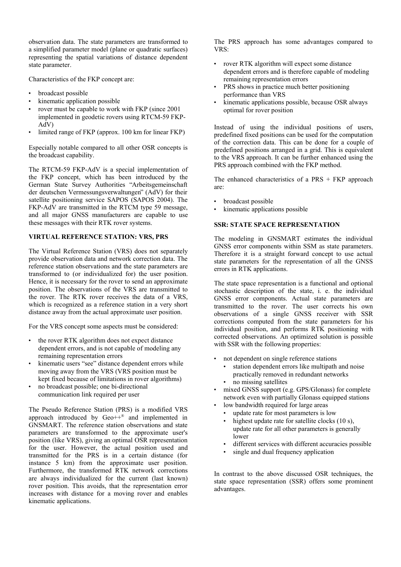observation data. The state parameters are transformed to a simplified parameter model (plane or quadratic surfaces) representing the spatial variations of distance dependent state parameter.

Characteristics of the FKP concept are:

- broadcast possible
- kinematic application possible
- rover must be capable to work with FKP (since 2001) implemented in geodetic rovers using RTCM-59 FKP-AdV)
- limited range of FKP (approx. 100 km for linear FKP)

Especially notable compared to all other OSR concepts is the broadcast capability.

The RTCM-59 FKP-AdV is a special implementation of the FKP concept, which has been introduced by the German State Survey Authorities "Arbeitsgemeinschaft der deutschen Vermessungsverwaltungen" (AdV) for their satellite positioning service SAPOS (SAPOS 2004). The FKP-AdV are transmitted in the RTCM type 59 message, and all major GNSS manufacturers are capable to use these messages with their RTK rover systems.

# **VIRTUAL REFERENCE STATION: VRS, PRS**

The Virtual Reference Station (VRS) does not separately provide observation data and network correction data. The reference station observations and the state parameters are transformed to (or individualized for) the user position. Hence, it is necessary for the rover to send an approximate position. The observations of the VRS are transmitted to the rover. The RTK rover receives the data of a VRS, which is recognized as a reference station in a very short distance away from the actual approximate user position.

For the VRS concept some aspects must be considered:

- the rover RTK algorithm does not expect distance dependent errors, and is not capable of modeling any remaining representation errors
- kinematic users "see" distance dependent errors while moving away from the VRS (VRS position must be kept fixed because of limitations in rover algorithms)
- no broadcast possible; one bi-directional communication link required per user

The Pseudo Reference Station (PRS) is a modified VRS approach introduced by  $Geo^{++}$  and implemented in GNSMART. The reference station observations and state parameters are transformed to the approximate user's position (like VRS), giving an optimal OSR representation for the user. However, the actual position used and transmitted for the PRS is in a certain distance (for instance 5 km) from the approximate user position. Furthermore, the transformed RTK network corrections are always individualized for the current (last known) rover position. This avoids, that the representation error increases with distance for a moving rover and enables kinematic applications.

The PRS approach has some advantages compared to VRS:

- rover RTK algorithm will expect some distance dependent errors and is therefore capable of modeling remaining representation errors
- PRS shows in practice much better positioning performance than VRS
- kinematic applications possible, because OSR always optimal for rover position

Instead of using the individual positions of users, predefined fixed positions can be used for the computation of the correction data. This can be done for a couple of predefined positions arranged in a grid. This is equivalent to the VRS approach. It can be further enhanced using the PRS approach combined with the FKP method.

The enhanced characteristics of a  $PRS + FKP$  approach are:

- broadcast possible
- kinematic applications possible

## **SSR: STATE SPACE REPRESENTATION**

The modeling in GNSMART estimates the individual GNSS error components within SSM as state parameters. Therefore it is a straight forward concept to use actual state parameters for the representation of all the GNSS errors in RTK applications.

The state space representation is a functional and optional stochastic description of the state, i. e. the individual GNSS error components. Actual state parameters are transmitted to the rover. The user corrects his own observations of a single GNSS receiver with SSR corrections computed from the state parameters for his individual position, and performs RTK positioning with corrected observations. An optimized solution is possible with SSR with the following properties:

- not dependent on single reference stations
	- station dependent errors like multipath and noise practically removed in redundant networks
	- no missing satellites
- mixed GNSS support (e.g. GPS/Glonass) for complete network even with partially Glonass equipped stations
- low bandwidth required for large areas
	- update rate for most parameters is low
	- highest update rate for satellite clocks (10 s), update rate for all other parameters is generally lower
	- different services with different accuracies possible
	- single and dual frequency application

In contrast to the above discussed OSR techniques, the state space representation (SSR) offers some prominent advantages.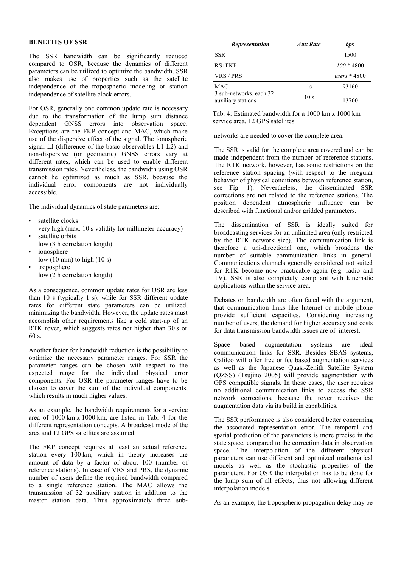## **BENEFITS OF SSR**

The SSR bandwidth can be significantly reduced compared to OSR, because the dynamics of different parameters can be utilized to optimize the bandwidth. SSR also makes use of properties such as the satellite independence of the tropospheric modeling or station independence of satellite clock errors.

For OSR, generally one common update rate is necessary due to the transformation of the lump sum distance dependent GNSS errors into observation space. Exceptions are the FKP concept and MAC, which make use of the dispersive effect of the signal. The ionospheric signal LI (difference of the basic observables L1-L2) and non-dispersive (or geometric) GNSS errors vary at different rates, which can be used to enable different transmission rates. Nevertheless, the bandwidth using OSR cannot be optimized as much as SSR, because the individual error components are not individually accessible.

The individual dynamics of state parameters are:

- satellite clocks
- very high (max. 10 s validity for millimeter-accuracy) satellite orbits
- low (3 h correlation length)
- ionosphere low  $(10 \text{ min})$  to high  $(10 \text{ s})$
- troposphere low (2 h correlation length)

As a consequence, common update rates for OSR are less than 10 s (typically 1 s), while for SSR different update rates for different state parameters can be utilized, minimizing the bandwidth. However, the update rates must accomplish other requirements like a cold start-up of an RTK rover, which suggests rates not higher than 30 s or 60 s.

Another factor for bandwidth reduction is the possibility to optimize the necessary parameter ranges. For SSR the parameter ranges can be chosen with respect to the expected range for the individual physical error components. For OSR the parameter ranges have to be chosen to cover the sum of the individual components, which results in much higher values.

As an example, the bandwidth requirements for a service area of 1000 km x 1000 km, are listed in Tab. 4 for the different representation concepts. A broadcast mode of the area and 12 GPS satellites are assumed.

The FKP concept requires at least an actual reference station every 100 km, which in theory increases the amount of data by a factor of about 100 (number of reference stations). In case of VRS and PRS, the dynamic number of users define the required bandwidth compared to a single reference station. The MAC allows the transmission of 32 auxiliary station in addition to the master station data. Thus approximately three sub-

| <b>Representation</b>                         | Aux Rate        | bps           |
|-----------------------------------------------|-----------------|---------------|
| <b>SSR</b>                                    |                 | 1500          |
| $RS+FKP$                                      |                 | $100 * 4800$  |
| VRS / PRS                                     |                 | users $*4800$ |
| <b>MAC</b>                                    | 1s              | 93160         |
| 3 sub-networks, each 32<br>auxiliary stations | 10 <sub>s</sub> | 13700         |

Tab. 4: Estimated bandwidth for a 1000 km x 1000 km service area, 12 GPS satellites

networks are needed to cover the complete area.

The SSR is valid for the complete area covered and can be made independent from the number of reference stations. The RTK network, however, has some restrictions on the reference station spacing (with respect to the irregular behavior of physical conditions between reference station, see Fig. 1). Nevertheless, the disseminated SSR corrections are not related to the reference stations. The position dependent atmospheric influence can be described with functional and/or gridded parameters.

The dissemination of SSR is ideally suited for broadcasting services for an unlimited area (only restricted by the RTK network size). The communication link is therefore a uni-directional one, which broadens the number of suitable communication links in general. Communications channels generally considered not suited for RTK become now practicable again (e.g. radio and TV). SSR is also completely compliant with kinematic applications within the service area.

Debates on bandwidth are often faced with the argument, that communication links like Internet or mobile phone provide sufficient capacities. Considering increasing number of users, the demand for higher accuracy and costs for data transmission bandwidth issues are of interest.

Space based augmentation systems are ideal communication links for SSR. Besides SBAS systems, Galileo will offer free or fee based augmentation services as well as the Japanese Quasi-Zenith Satellite System (QZSS) (Tsujino 2005) will provide augmentation with GPS compatible signals. In these cases, the user requires no additional communication links to access the SSR network corrections, because the rover receives the augmentation data via its build in capabilities.

The SSR performance is also considered better concerning the associated representation error. The temporal and spatial prediction of the parameters is more precise in the state space, compared to the correction data in observation space. The interpolation of the different physical parameters can use different and optimized mathematical models as well as the stochastic properties of the parameters. For OSR the interpolation has to be done for the lump sum of all effects, thus not allowing different interpolation models.

As an example, the tropospheric propagation delay may be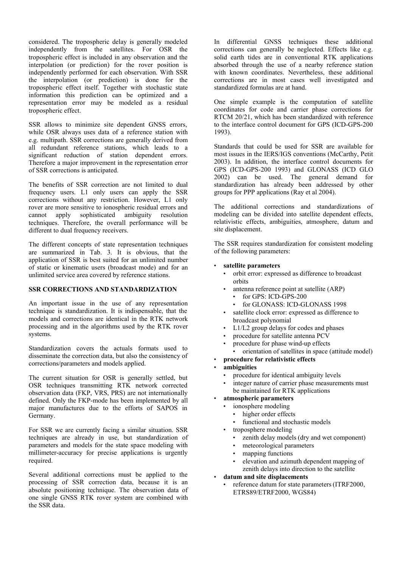considered. The tropospheric delay is generally modeled independently from the satellites. For OSR the tropospheric effect is included in any observation and the interpolation (or prediction) for the rover position is independently performed for each observation. With SSR the interpolation (or prediction) is done for the tropospheric effect itself. Together with stochastic state information this prediction can be optimized and a representation error may be modeled as a residual tropospheric effect.

SSR allows to minimize site dependent GNSS errors, while OSR always uses data of a reference station with e.g. multipath. SSR corrections are generally derived from all redundant reference stations, which leads to a significant reduction of station dependent errors. Therefore a major improvement in the representation error of SSR corrections is anticipated.

The benefits of SSR correction are not limited to dual frequency users. L1 only users can apply the SSR corrections without any restriction. However, L1 only rover are more sensitive to ionospheric residual errors and cannot apply sophisticated ambiguity resolution techniques. Therefore, the overall performance will be different to dual frequency receivers.

The different concepts of state representation techniques are summarized in Tab. 3. It is obvious, that the application of SSR is best suited for an unlimited number of static or kinematic users (broadcast mode) and for an unlimited service area covered by reference stations.

#### **SSR CORRECTIONS AND STANDARDIZATION**

An important issue in the use of any representation technique is standardization. It is indispensable, that the models and corrections are identical in the RTK network processing and in the algorithms used by the RTK rover systems.

Standardization covers the actuals formats used to disseminate the correction data, but also the consistency of corrections/parameters and models applied.

The current situation for OSR is generally settled, but OSR techniques transmitting RTK network corrected observation data (FKP, VRS, PRS) are not internationally defined. Only the FKP-mode has been implemented by all major manufactures due to the efforts of SAPOS in Germany.

For SSR we are currently facing a similar situation. SSR techniques are already in use, but standardization of parameters and models for the state space modeling with millimeter-accuracy for precise applications is urgently required.

Several additional corrections must be applied to the processing of SSR correction data, because it is an absolute positioning technique. The observation data of one single GNSS RTK rover system are combined with the SSR data.

In differential GNSS techniques these additional corrections can generally be neglected. Effects like e.g. solid earth tides are in conventional RTK applications absorbed through the use of a nearby reference station with known coordinates. Nevertheless, these additional corrections are in most cases well investigated and standardized formulas are at hand.

One simple example is the computation of satellite coordinates for code and carrier phase corrections for RTCM 20/21, which has been standardized with reference to the interface control document for GPS (ICD-GPS-200 1993).

Standards that could be used for SSR are available for most issues in the IERS/IGS conventions (McCarthy, Petit 2003). In addition, the interface control documents for GPS (ICD-GPS-200 1993) and GLONASS (ICD GLO 2002) can be used. The general demand for standardization has already been addressed by other groups for PPP applications (Ray et al 2004).

The additional corrections and standardizations of modeling can be divided into satellite dependent effects, relativistic effects, ambiguities, atmosphere, datum and site displacement.

The SSR requires standardization for consistent modeling of the following parameters:

## • **satellite parameters**

- orbit error: expressed as difference to broadcast orbits
- antenna reference point at satellite (ARP)
	- for GPS: ICD-GPS-200
	- for GLONASS: ICD-GLONASS 1998
- satellite clock error: expressed as difference to broadcast polynomial
- L1/L2 group delays for codes and phases
- procedure for satellite antenna PCV
- procedure for phase wind-up effects • orientation of satellites in space (attitude model)
- **procedure for relativistic effects**

### • **ambiguities**

- procedure for identical ambiguity levels
- integer nature of carrier phase measurements must be maintained for RTK applications
- **atmospheric parameters**
	- ionosphere modeling
	- higher order effects
		- functional and stochastic models
	- troposphere modeling
		- zenith delay models (dry and wet component)
		- meteorological parameters
		- mapping functions
		- elevation and azimuth dependent mapping of zenith delays into direction to the satellite
- **datum and site displacements**
	- reference datum for state parameters (ITRF2000, ETRS89/ETRF2000, WGS84)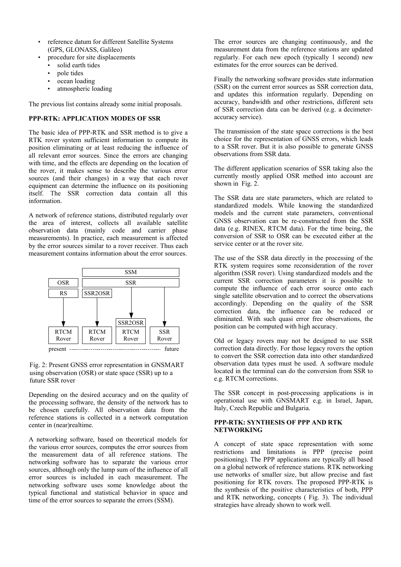- reference datum for different Satellite Systems (GPS, GLONASS, Galileo)
	- procedure for site displacements
		- solid earth tides
		- pole tides
		- ocean loading
		- atmospheric loading

The previous list contains already some initial proposals.

## **PPP-RTK: APPLICATION MODES OF SSR**

The basic idea of PPP-RTK and SSR method is to give a RTK rover system sufficient information to compute its position eliminating or at least reducing the influence of all relevant error sources. Since the errors are changing with time, and the effects are depending on the location of the rover, it makes sense to describe the various error sources (and their changes) in a way that each rover equipment can determine the influence on its positioning itself. The SSR correction data contain all this information.

A network of reference stations, distributed regularly over the area of interest, collects all available satellite observation data (mainly code and carrier phase measurements). In practice, each measurement is affected by the error sources similar to a rover receiver. Thus each measurement contains information about the error sources.



#### Fig. 2: Present GNSS error representation in GNSMART using observation (OSR) or state space (SSR) up to a future SSR rover

Depending on the desired accuracy and on the quality of the processing software, the density of the network has to be chosen carefully. All observation data from the reference stations is collected in a network computation center in (near)realtime.

A networking software, based on theoretical models for the various error sources, computes the error sources from the measurement data of all reference stations. The networking software has to separate the various error sources, although only the lump sum of the influence of all error sources is included in each measurement. The networking software uses some knowledge about the typical functional and statistical behavior in space and time of the error sources to separate the errors (SSM).

The error sources are changing continuously, and the measurement data from the reference stations are updated regularly. For each new epoch (typically 1 second) new estimates for the error sources can be derived.

Finally the networking software provides state information (SSR) on the current error sources as SSR correction data, and updates this information regularly. Depending on accuracy, bandwidth and other restrictions, different sets of SSR correction data can be derived (e.g. a decimeteraccuracy service).

The transmission of the state space corrections is the best choice for the representation of GNSS errors, which leads to a SSR rover. But it is also possible to generate GNSS observations from SSR data.

The different application scenarios of SSR taking also the currently mostly applied OSR method into account are shown in Fig. 2.

The SSR data are state parameters, which are related to standardized models. While knowing the standardized models and the current state parameters, conventional GNSS observation can be re-constructed from the SSR data (e.g. RINEX, RTCM data). For the time being, the conversion of SSR to OSR can be executed either at the service center or at the rover site.

The use of the SSR data directly in the processing of the RTK system requires some reconsideration of the rover algorithm (SSR rover). Using standardized models and the current SSR correction parameters it is possible to compute the influence of each error source onto each single satellite observation and to correct the observations accordingly. Depending on the quality of the SSR correction data, the influence can be reduced or eliminated. With such quasi error free observations, the position can be computed with high accuracy.

Old or legacy rovers may not be designed to use SSR correction data directly. For those legacy rovers the option to convert the SSR correction data into other standardized observation data types must be used. A software module located in the terminal can do the conversion from SSR to e.g. RTCM corrections.

The SSR concept in post-processing applications is in operational use with GNSMART e.g. in Israel, Japan, Italy, Czech Republic and Bulgaria.

### **PPP-RTK: SYNTHESIS OF PPP AND RTK NETWORKING**

A concept of state space representation with some restrictions and limitations is PPP (precise point positioning). The PPP applications are typically all based on a global network of reference stations. RTK networking use networks of smaller size, but allow precise and fast positioning for RTK rovers. The proposed PPP-RTK is the synthesis of the positive characteristics of both, PPP and RTK networking, concepts ( Fig. 3). The individual strategies have already shown to work well.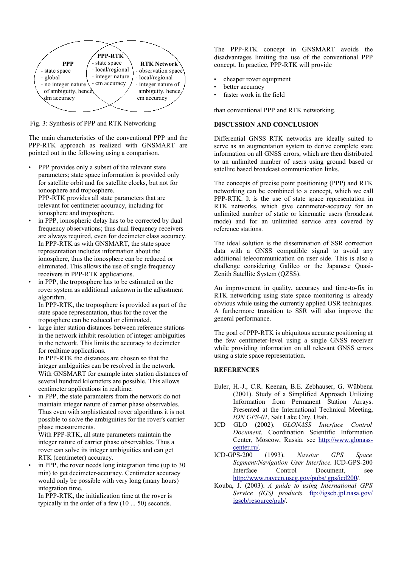

Fig. 3: Synthesis of PPP and RTK Networking

The main characteristics of the conventional PPP and the PPP-RTK approach as realized with GNSMART are pointed out in the following using a comparison.

PPP provides only a subset of the relevant state parameters; state space information is provided only for satellite orbit and for satellite clocks, but not for ionosphere and troposphere. PPP-RTK provides all state parameters that are

relevant for centimeter accuracy, including for ionosphere and troposphere.

- in PPP, ionospheric delay has to be corrected by dual frequency observations; thus dual frequency receivers are always required, even for decimeter class accuracy. In PPP-RTK as with GNSMART, the state space representation includes information about the ionosphere, thus the ionosphere can be reduced or eliminated. This allows the use of single frequency receivers in PPP-RTK applications.
- in PPP, the troposphere has to be estimated on the rover system as additional unknown in the adjustment algorithm.

In PPP-RTK, the troposphere is provided as part of the state space representation, thus for the rover the troposphere can be reduced or eliminated.

large inter station distances between reference stations in the network inhibit resolution of integer ambiguities in the network. This limits the accuracy to decimeter for realtime applications.

In PPP-RTK the distances are chosen so that the integer ambiguities can be resolved in the network. With GNSMART for example inter station distances of several hundred kilometers are possible. This allows centimeter applications in realtime.

in PPP, the state parameters from the network do not maintain integer nature of carrier phase observables. Thus even with sophisticated rover algorithms it is not possible to solve the ambiguities for the rover's carrier phase measurements.

With PPP-RTK, all state parameters maintain the integer nature of carrier phase observables. Thus a rover can solve its integer ambiguities and can get RTK (centimeter) accuracy.

in PPP, the rover needs long integration time (up to 30) min) to get decimeter-accuracy. Centimeter accuracy would only be possible with very long (many hours) integration time.

In PPP-RTK, the initialization time at the rover is typically in the order of a few (10 ... 50) seconds.

The PPP-RTK concept in GNSMART avoids the disadvantages limiting the use of the conventional PPP concept. In practice, PPP-RTK will provide

- cheaper rover equipment
- better accuracy
- faster work in the field

than conventional PPP and RTK networking.

## **DISCUSSION AND CONCLUSION**

Differential GNSS RTK networks are ideally suited to serve as an augmentation system to derive complete state information on all GNSS errors, which are then distributed to an unlimited number of users using ground based or satellite based broadcast communication links.

The concepts of precise point positioning (PPP) and RTK networking can be combined to a concept, which we call PPP-RTK. It is the use of state space representation in RTK networks, which give centimeter-accuracy for an unlimited number of static or kinematic users (broadcast mode) and for an unlimited service area covered by reference stations.

The ideal solution is the dissemination of SSR correction data with a GNSS compatible signal to avoid any additional telecommunication on user side. This is also a challenge considering Galileo or the Japanese Quasi-Zenith Satellite System (QZSS).

An improvement in quality, accuracy and time-to-fix in RTK networking using state space monitoring is already obvious while using the currently applied OSR techniques. A furthermore transition to SSR will also improve the general performance.

The goal of PPP-RTK is ubiquitous accurate positioning at the few centimeter-level using a single GNSS receiver while providing information on all relevant GNSS errors using a state space representation.

### **REFERENCES**

- Euler, H.-J., C.R. Keenan, B.E. Zebhauser, G. Wübbena (2001). Study of a Simplified Approach Utilizing Information from Permanent Station Arrays. Presented at the International Technical Meeting, *ION GPS-01*, Salt Lake City, Utah.
- ICD GLO (2002). *GLONASS Interface Control Document*. Coordination Scientific Information Center, Moscow, Russia. see http://www.glonasscenter.ru/.
- ICD-GPS-200 (1993). *Navstar GPS Space Segment/Navigation User Interface*. ICD-GPS-200 Interface Control Document, see http://www.navcen.uscg.gov/pubs/gps/icd200/.
- Kouba, J. (2003). *A guide to using International GPS Service (IGS) products.* ftp://igscb.jpl.nasa.gov/ igscb/resource/pub/.